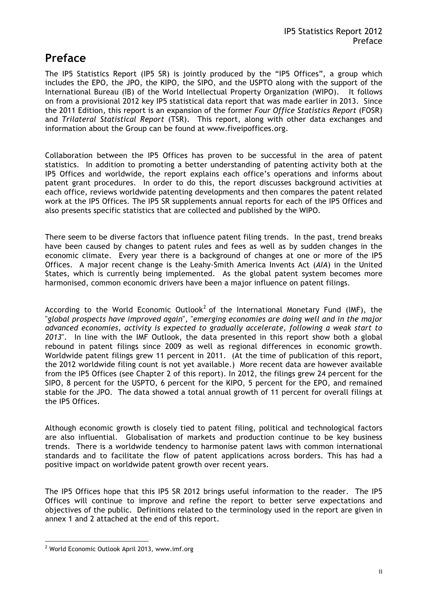## **Preface**

The IP5 Statistics Report (IP5 SR) is jointly produced by the "IP5 Offices", a group which includes the EPO, the JPO, the KIPO, the SIPO, and the USPTO along with the support of the International Bureau (IB) of the World Intellectual Property Organization (WIPO). It follows on from a provisional 2012 key IP5 statistical data report that was made earlier in 2013. Since the 2011 Edition, this report is an expansion of the former *Four Office Statistics Report* (FOSR) and *Trilateral Statistical Report* (TSR). This report, along with other data exchanges and information about the Group can be found at www.fiveipoffices.org.

Collaboration between the IP5 Offices has proven to be successful in the area of patent statistics. In addition to promoting a better understanding of patenting activity both at the IP5 Offices and worldwide, the report explains each office's operations and informs about patent grant procedures. In order to do this, the report discusses background activities at each office, reviews worldwide patenting developments and then compares the patent related work at the IP5 Offices. The IP5 SR supplements annual reports for each of the IP5 Offices and also presents specific statistics that are collected and published by the WIPO.

There seem to be diverse factors that influence patent filing trends. In the past, trend breaks have been caused by changes to patent rules and fees as well as by sudden changes in the economic climate. Every year there is a background of changes at one or more of the IP5 Offices. A major recent change is the Leahy-Smith America Invents Act (*AIA*) in the United States, which is currently being implemented. As the global patent system becomes more harmonised, common economic drivers have been a major influence on patent filings.

According to the World Economic Outlook<sup>2</sup> of the International Monetary Fund (IMF), the "*global prospects have improved again*", "*emerging economies are doing well and in the major advanced economies, activity is expected to gradually accelerate, following a weak start to 2013*". In line with the IMF Outlook, the data presented in this report show both a global rebound in patent filings since 2009 as well as regional differences in economic growth. Worldwide patent filings grew 11 percent in 2011. (At the time of publication of this report, the 2012 worldwide filing count is not yet available.) More recent data are however available from the IP5 Offices (see Chapter 2 of this report). In 2012, the filings grew 24 percent for the SIPO, 8 percent for the USPTO, 6 percent for the KIPO, 5 percent for the EPO, and remained stable for the JPO. The data showed a total annual growth of 11 percent for overall filings at the IP5 Offices.

Although economic growth is closely tied to patent filing, political and technological factors are also influential. Globalisation of markets and production continue to be key business trends. There is a worldwide tendency to harmonise patent laws with common international standards and to facilitate the flow of patent applications across borders. This has had a positive impact on worldwide patent growth over recent years.

The IP5 Offices hope that this IP5 SR 2012 brings useful information to the reader. The IP5 Offices will continue to improve and refine the report to better serve expectations and objectives of the public. Definitions related to the terminology used in the report are given in annex 1 and 2 attached at the end of this report.

 $\overline{a}$ 

<sup>&</sup>lt;sup>2</sup> World Economic Outlook April 2013, www.imf.org